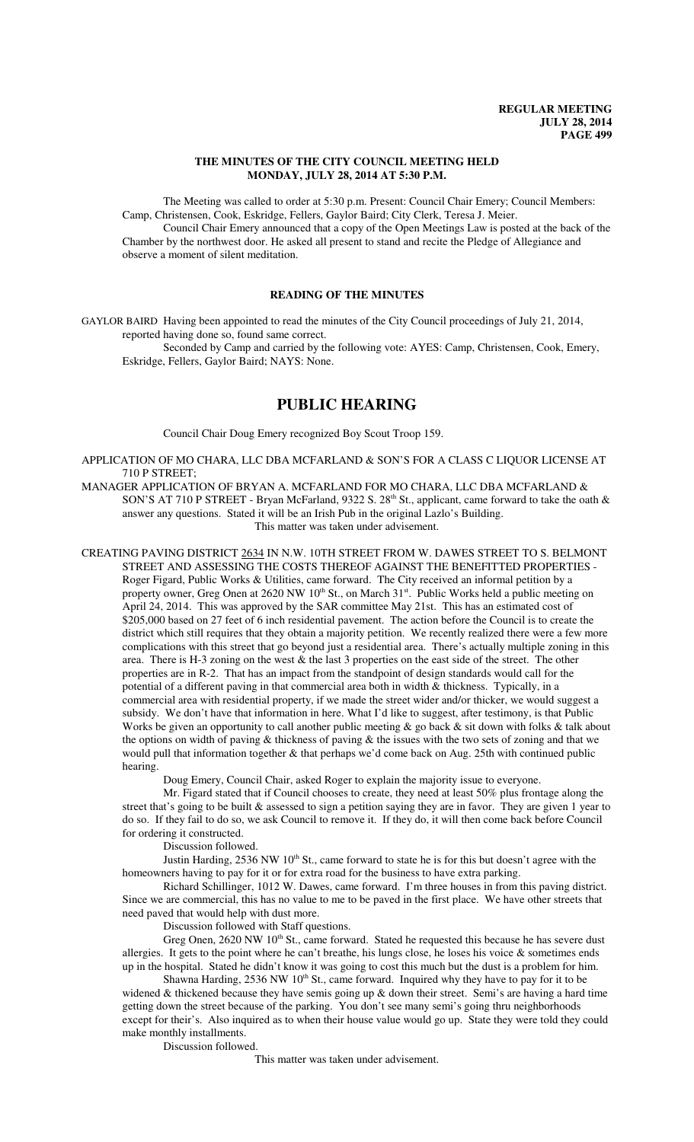## **THE MINUTES OF THE CITY COUNCIL MEETING HELD MONDAY, JULY 28, 2014 AT 5:30 P.M.**

The Meeting was called to order at 5:30 p.m. Present: Council Chair Emery; Council Members: Camp, Christensen, Cook, Eskridge, Fellers, Gaylor Baird; City Clerk, Teresa J. Meier.

Council Chair Emery announced that a copy of the Open Meetings Law is posted at the back of the Chamber by the northwest door. He asked all present to stand and recite the Pledge of Allegiance and observe a moment of silent meditation.

# **READING OF THE MINUTES**

GAYLOR BAIRD Having been appointed to read the minutes of the City Council proceedings of July 21, 2014, reported having done so, found same correct.

Seconded by Camp and carried by the following vote: AYES: Camp, Christensen, Cook, Emery, Eskridge, Fellers, Gaylor Baird; NAYS: None.

# **PUBLIC HEARING**

Council Chair Doug Emery recognized Boy Scout Troop 159.

APPLICATION OF MO CHARA, LLC DBA MCFARLAND & SON'S FOR A CLASS C LIQUOR LICENSE AT 710 P STREET;

MANAGER APPLICATION OF BRYAN A. MCFARLAND FOR MO CHARA, LLC DBA MCFARLAND & SON'S AT 710 P STREET - Bryan McFarland, 9322 S. 28<sup>th</sup> St., applicant, came forward to take the oath & answer any questions. Stated it will be an Irish Pub in the original Lazlo's Building. This matter was taken under advisement.

CREATING PAVING DISTRICT 2634 IN N.W. 10TH STREET FROM W. DAWES STREET TO S. BELMONT STREET AND ASSESSING THE COSTS THEREOF AGAINST THE BENEFITTED PROPERTIES - Roger Figard, Public Works & Utilities, came forward. The City received an informal petition by a property owner, Greg Onen at 2620 NW 10<sup>th</sup> St., on March 31<sup>st</sup>. Public Works held a public meeting on April 24, 2014. This was approved by the SAR committee May 21st. This has an estimated cost of \$205,000 based on 27 feet of 6 inch residential pavement. The action before the Council is to create the district which still requires that they obtain a majority petition. We recently realized there were a few more complications with this street that go beyond just a residential area. There's actually multiple zoning in this area. There is H-3 zoning on the west & the last 3 properties on the east side of the street. The other properties are in R-2. That has an impact from the standpoint of design standards would call for the potential of a different paving in that commercial area both in width & thickness. Typically, in a commercial area with residential property, if we made the street wider and/or thicker, we would suggest a subsidy. We don't have that information in here. What I'd like to suggest, after testimony, is that Public Works be given an opportunity to call another public meeting & go back & sit down with folks & talk about the options on width of paving & thickness of paving & the issues with the two sets of zoning and that we would pull that information together & that perhaps we'd come back on Aug. 25th with continued public hearing.

Doug Emery, Council Chair, asked Roger to explain the majority issue to everyone.

Mr. Figard stated that if Council chooses to create, they need at least 50% plus frontage along the street that's going to be built & assessed to sign a petition saying they are in favor. They are given 1 year to do so. If they fail to do so, we ask Council to remove it. If they do, it will then come back before Council for ordering it constructed.

Discussion followed.

Justin Harding, 2536 NW 10<sup>th</sup> St., came forward to state he is for this but doesn't agree with the homeowners having to pay for it or for extra road for the business to have extra parking.

Richard Schillinger, 1012 W. Dawes, came forward. I'm three houses in from this paving district. Since we are commercial, this has no value to me to be paved in the first place. We have other streets that need paved that would help with dust more.

Discussion followed with Staff questions.

Greg Onen, 2620 NW 10<sup>th</sup> St., came forward. Stated he requested this because he has severe dust allergies. It gets to the point where he can't breathe, his lungs close, he loses his voice & sometimes ends up in the hospital. Stated he didn't know it was going to cost this much but the dust is a problem for him.

Shawna Harding,  $2536$  NW  $10^{th}$  St., came forward. Inquired why they have to pay for it to be widened & thickened because they have semis going up & down their street. Semi's are having a hard time getting down the street because of the parking. You don't see many semi's going thru neighborhoods except for their's. Also inquired as to when their house value would go up. State they were told they could make monthly installments.

Discussion followed.

This matter was taken under advisement.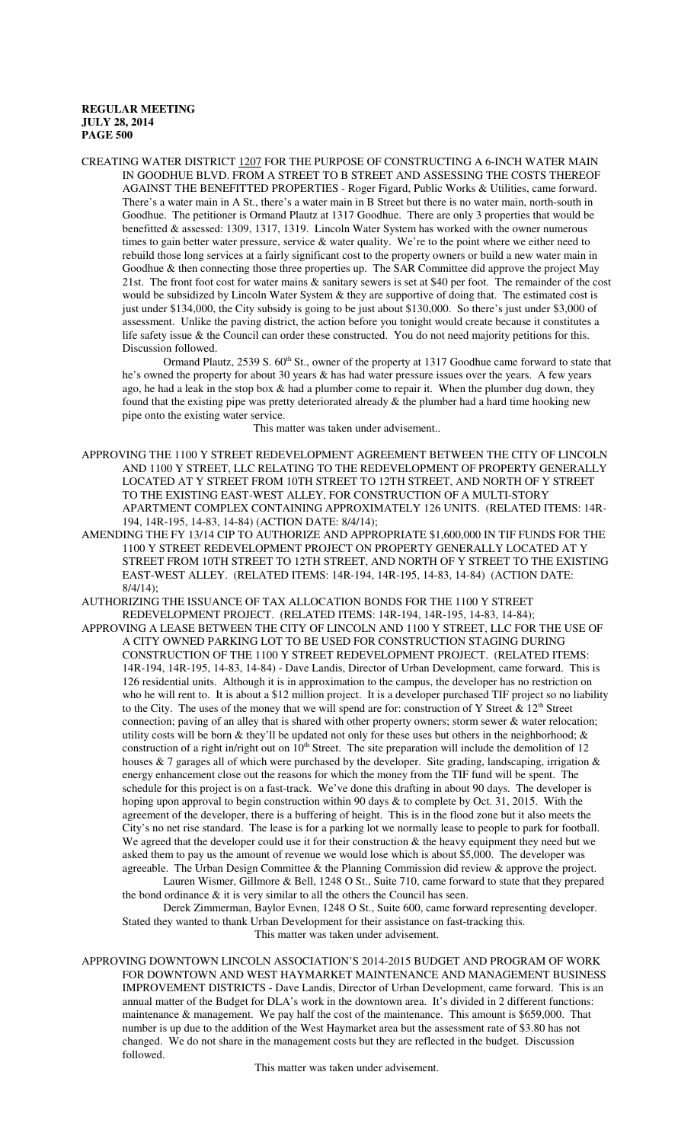CREATING WATER DISTRICT 1207 FOR THE PURPOSE OF CONSTRUCTING A 6-INCH WATER MAIN IN GOODHUE BLVD. FROM A STREET TO B STREET AND ASSESSING THE COSTS THEREOF AGAINST THE BENEFITTED PROPERTIES - Roger Figard, Public Works & Utilities, came forward. There's a water main in A St., there's a water main in B Street but there is no water main, north-south in Goodhue. The petitioner is Ormand Plautz at 1317 Goodhue. There are only 3 properties that would be benefitted & assessed: 1309, 1317, 1319. Lincoln Water System has worked with the owner numerous times to gain better water pressure, service & water quality. We're to the point where we either need to rebuild those long services at a fairly significant cost to the property owners or build a new water main in Goodhue & then connecting those three properties up. The SAR Committee did approve the project May 21st. The front foot cost for water mains & sanitary sewers is set at \$40 per foot. The remainder of the cost would be subsidized by Lincoln Water System & they are supportive of doing that. The estimated cost is just under \$134,000, the City subsidy is going to be just about \$130,000. So there's just under \$3,000 of assessment. Unlike the paving district, the action before you tonight would create because it constitutes a life safety issue & the Council can order these constructed. You do not need majority petitions for this. Discussion followed.

Ormand Plautz, 2539 S. 60<sup>th</sup> St., owner of the property at 1317 Goodhue came forward to state that he's owned the property for about 30 years & has had water pressure issues over the years. A few years ago, he had a leak in the stop box  $\&$  had a plumber come to repair it. When the plumber dug down, they found that the existing pipe was pretty deteriorated already & the plumber had a hard time hooking new pipe onto the existing water service.

This matter was taken under advisement..

- APPROVING THE 1100 Y STREET REDEVELOPMENT AGREEMENT BETWEEN THE CITY OF LINCOLN AND 1100 Y STREET, LLC RELATING TO THE REDEVELOPMENT OF PROPERTY GENERALLY LOCATED AT Y STREET FROM 10TH STREET TO 12TH STREET, AND NORTH OF Y STREET TO THE EXISTING EAST-WEST ALLEY, FOR CONSTRUCTION OF A MULTI-STORY APARTMENT COMPLEX CONTAINING APPROXIMATELY 126 UNITS. (RELATED ITEMS: 14R-194, 14R-195, 14-83, 14-84) (ACTION DATE: 8/4/14);
- AMENDING THE FY 13/14 CIP TO AUTHORIZE AND APPROPRIATE \$1,600,000 IN TIF FUNDS FOR THE 1100 Y STREET REDEVELOPMENT PROJECT ON PROPERTY GENERALLY LOCATED AT Y STREET FROM 10TH STREET TO 12TH STREET, AND NORTH OF Y STREET TO THE EXISTING EAST-WEST ALLEY. (RELATED ITEMS: 14R-194, 14R-195, 14-83, 14-84) (ACTION DATE: 8/4/14);
- AUTHORIZING THE ISSUANCE OF TAX ALLOCATION BONDS FOR THE 1100 Y STREET REDEVELOPMENT PROJECT. (RELATED ITEMS: 14R-194, 14R-195, 14-83, 14-84);
- APPROVING A LEASE BETWEEN THE CITY OF LINCOLN AND 1100 Y STREET, LLC FOR THE USE OF A CITY OWNED PARKING LOT TO BE USED FOR CONSTRUCTION STAGING DURING CONSTRUCTION OF THE 1100 Y STREET REDEVELOPMENT PROJECT. (RELATED ITEMS: 14R-194, 14R-195, 14-83, 14-84) - Dave Landis, Director of Urban Development, came forward. This is 126 residential units. Although it is in approximation to the campus, the developer has no restriction on who he will rent to. It is about a \$12 million project. It is a developer purchased TIF project so no liability to the City. The uses of the money that we will spend are for: construction of Y Street &  $12<sup>th</sup>$  Street connection; paving of an alley that is shared with other property owners; storm sewer & water relocation; utility costs will be born  $\&$  they'll be updated not only for these uses but others in the neighborhood;  $\&$ construction of a right in/right out on 10<sup>th</sup> Street. The site preparation will include the demolition of 12 houses & 7 garages all of which were purchased by the developer. Site grading, landscaping, irrigation  $\&$ energy enhancement close out the reasons for which the money from the TIF fund will be spent. The schedule for this project is on a fast-track. We've done this drafting in about 90 days. The developer is hoping upon approval to begin construction within 90 days & to complete by Oct. 31, 2015. With the agreement of the developer, there is a buffering of height. This is in the flood zone but it also meets the City's no net rise standard. The lease is for a parking lot we normally lease to people to park for football. We agreed that the developer could use it for their construction  $\&$  the heavy equipment they need but we asked them to pay us the amount of revenue we would lose which is about \$5,000. The developer was agreeable. The Urban Design Committee & the Planning Commission did review & approve the project. Lauren Wismer, Gillmore & Bell, 1248 O St., Suite 710, came forward to state that they prepared

the bond ordinance  $\&$  it is very similar to all the others the Council has seen. Derek Zimmerman, Baylor Evnen, 1248 O St., Suite 600, came forward representing developer.

Stated they wanted to thank Urban Development for their assistance on fast-tracking this. This matter was taken under advisement.

APPROVING DOWNTOWN LINCOLN ASSOCIATION'S 2014-2015 BUDGET AND PROGRAM OF WORK FOR DOWNTOWN AND WEST HAYMARKET MAINTENANCE AND MANAGEMENT BUSINESS IMPROVEMENT DISTRICTS - Dave Landis, Director of Urban Development, came forward. This is an annual matter of the Budget for DLA's work in the downtown area. It's divided in 2 different functions: maintenance & management. We pay half the cost of the maintenance. This amount is \$659,000. That number is up due to the addition of the West Haymarket area but the assessment rate of \$3.80 has not changed. We do not share in the management costs but they are reflected in the budget. Discussion followed.

This matter was taken under advisement.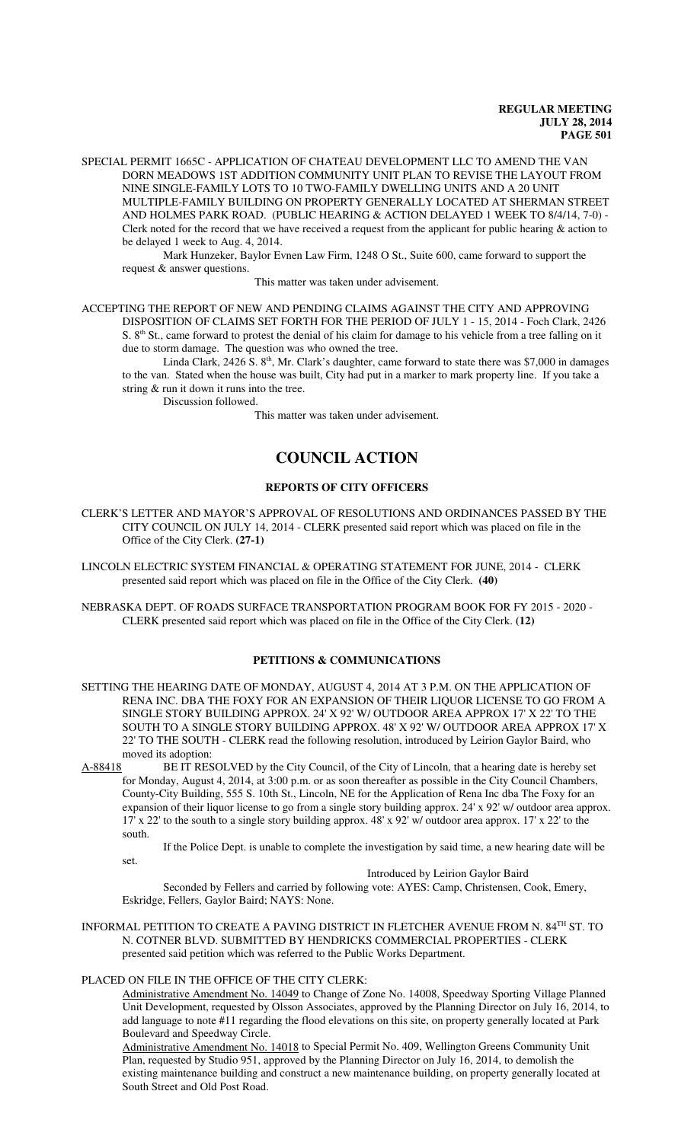SPECIAL PERMIT 1665C - APPLICATION OF CHATEAU DEVELOPMENT LLC TO AMEND THE VAN DORN MEADOWS 1ST ADDITION COMMUNITY UNIT PLAN TO REVISE THE LAYOUT FROM NINE SINGLE-FAMILY LOTS TO 10 TWO-FAMILY DWELLING UNITS AND A 20 UNIT MULTIPLE-FAMILY BUILDING ON PROPERTY GENERALLY LOCATED AT SHERMAN STREET AND HOLMES PARK ROAD. (PUBLIC HEARING & ACTION DELAYED 1 WEEK TO 8/4/14, 7-0) - Clerk noted for the record that we have received a request from the applicant for public hearing & action to be delayed 1 week to Aug. 4, 2014.

Mark Hunzeker, Baylor Evnen Law Firm, 1248 O St., Suite 600, came forward to support the request & answer questions.

This matter was taken under advisement.

ACCEPTING THE REPORT OF NEW AND PENDING CLAIMS AGAINST THE CITY AND APPROVING DISPOSITION OF CLAIMS SET FORTH FOR THE PERIOD OF JULY 1 - 15, 2014 - Foch Clark, 2426 S.  $8<sup>th</sup>$  St., came forward to protest the denial of his claim for damage to his vehicle from a tree falling on it due to storm damage. The question was who owned the tree.

Linda Clark, 2426 S. 8<sup>th</sup>, Mr. Clark's daughter, came forward to state there was \$7,000 in damages to the van. Stated when the house was built, City had put in a marker to mark property line. If you take a string & run it down it runs into the tree.

Discussion followed.

This matter was taken under advisement.

# **COUNCIL ACTION**

## **REPORTS OF CITY OFFICERS**

- CLERK'S LETTER AND MAYOR'S APPROVAL OF RESOLUTIONS AND ORDINANCES PASSED BY THE CITY COUNCIL ON JULY 14, 2014 - CLERK presented said report which was placed on file in the Office of the City Clerk. **(27-1)**
- LINCOLN ELECTRIC SYSTEM FINANCIAL & OPERATING STATEMENT FOR JUNE, 2014 CLERK presented said report which was placed on file in the Office of the City Clerk. **(40)**
- NEBRASKA DEPT. OF ROADS SURFACE TRANSPORTATION PROGRAM BOOK FOR FY 2015 2020 CLERK presented said report which was placed on file in the Office of the City Clerk. **(12)**

## **PETITIONS & COMMUNICATIONS**

- SETTING THE HEARING DATE OF MONDAY, AUGUST 4, 2014 AT 3 P.M. ON THE APPLICATION OF RENA INC. DBA THE FOXY FOR AN EXPANSION OF THEIR LIQUOR LICENSE TO GO FROM A SINGLE STORY BUILDING APPROX. 24' X 92' W/ OUTDOOR AREA APPROX 17' X 22' TO THE SOUTH TO A SINGLE STORY BUILDING APPROX. 48' X 92' W/ OUTDOOR AREA APPROX 17' X 22' TO THE SOUTH - CLERK read the following resolution, introduced by Leirion Gaylor Baird, who moved its adoption:
- A-88418 BE IT RESOLVED by the City Council, of the City of Lincoln, that a hearing date is hereby set for Monday, August 4, 2014, at 3:00 p.m. or as soon thereafter as possible in the City Council Chambers, County-City Building, 555 S. 10th St., Lincoln, NE for the Application of Rena Inc dba The Foxy for an expansion of their liquor license to go from a single story building approx. 24' x 92' w/ outdoor area approx. 17' x 22' to the south to a single story building approx. 48' x 92' w/ outdoor area approx. 17' x 22' to the south.

If the Police Dept. is unable to complete the investigation by said time, a new hearing date will be set.

Introduced by Leirion Gaylor Baird

Seconded by Fellers and carried by following vote: AYES: Camp, Christensen, Cook, Emery, Eskridge, Fellers, Gaylor Baird; NAYS: None.

INFORMAL PETITION TO CREATE A PAVING DISTRICT IN FLETCHER AVENUE FROM N. 84TH ST. TO N. COTNER BLVD. SUBMITTED BY HENDRICKS COMMERCIAL PROPERTIES - CLERK presented said petition which was referred to the Public Works Department.

# PLACED ON FILE IN THE OFFICE OF THE CITY CLERK:

Administrative Amendment No. 14049 to Change of Zone No. 14008, Speedway Sporting Village Planned Unit Development, requested by Olsson Associates, approved by the Planning Director on July 16, 2014, to add language to note #11 regarding the flood elevations on this site, on property generally located at Park Boulevard and Speedway Circle.

Administrative Amendment No. 14018 to Special Permit No. 409, Wellington Greens Community Unit Plan, requested by Studio 951, approved by the Planning Director on July 16, 2014, to demolish the existing maintenance building and construct a new maintenance building, on property generally located at South Street and Old Post Road.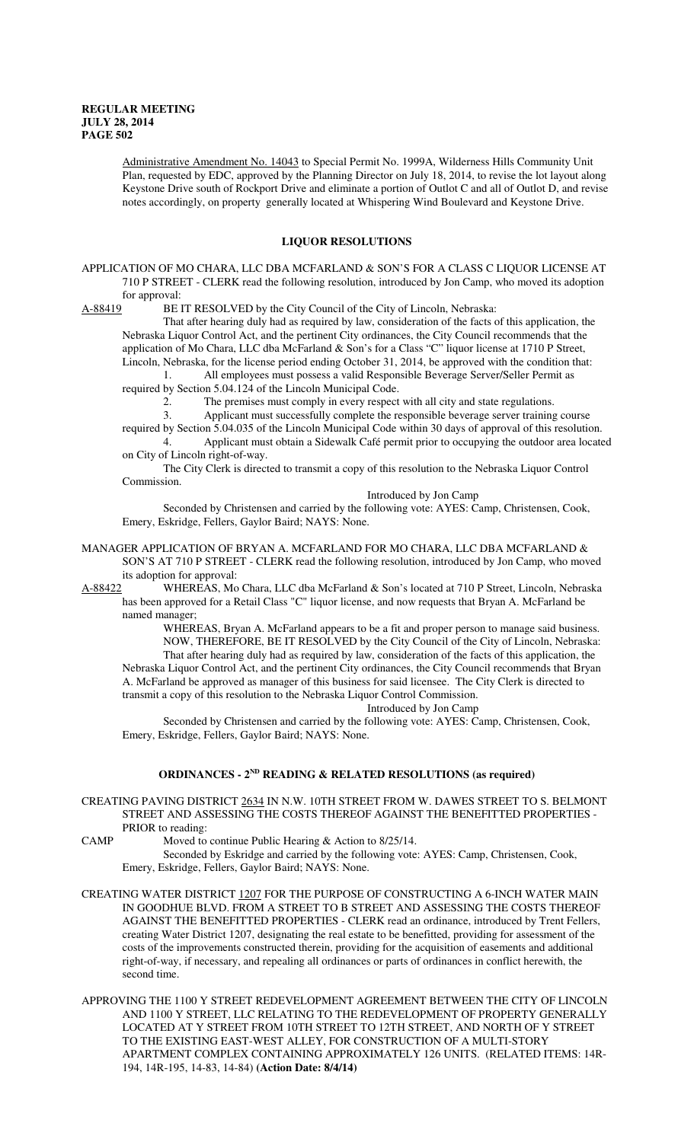Administrative Amendment No. 14043 to Special Permit No. 1999A, Wilderness Hills Community Unit Plan, requested by EDC, approved by the Planning Director on July 18, 2014, to revise the lot layout along Keystone Drive south of Rockport Drive and eliminate a portion of Outlot C and all of Outlot D, and revise notes accordingly, on property generally located at Whispering Wind Boulevard and Keystone Drive.

## **LIQUOR RESOLUTIONS**

APPLICATION OF MO CHARA, LLC DBA MCFARLAND & SON'S FOR A CLASS C LIQUOR LICENSE AT 710 P STREET - CLERK read the following resolution, introduced by Jon Camp, who moved its adoption for approval:

A-88419 BE IT RESOLVED by the City Council of the City of Lincoln, Nebraska:

That after hearing duly had as required by law, consideration of the facts of this application, the Nebraska Liquor Control Act, and the pertinent City ordinances, the City Council recommends that the application of Mo Chara, LLC dba McFarland & Son's for a Class "C" liquor license at 1710 P Street, Lincoln, Nebraska, for the license period ending October 31, 2014, be approved with the condition that:

1. All employees must possess a valid Responsible Beverage Server/Seller Permit as required by Section 5.04.124 of the Lincoln Municipal Code.

2. The premises must comply in every respect with all city and state regulations.

3. Applicant must successfully complete the responsible beverage server training course

required by Section 5.04.035 of the Lincoln Municipal Code within 30 days of approval of this resolution. 4. Applicant must obtain a Sidewalk Café permit prior to occupying the outdoor area located

on City of Lincoln right-of-way.

The City Clerk is directed to transmit a copy of this resolution to the Nebraska Liquor Control Commission.

Introduced by Jon Camp

Seconded by Christensen and carried by the following vote: AYES: Camp, Christensen, Cook, Emery, Eskridge, Fellers, Gaylor Baird; NAYS: None.

MANAGER APPLICATION OF BRYAN A. MCFARLAND FOR MO CHARA, LLC DBA MCFARLAND  $\&$ SON'S AT 710 P STREET - CLERK read the following resolution, introduced by Jon Camp, who moved its adoption for approval:

A-88422 WHEREAS, Mo Chara, LLC dba McFarland & Son's located at 710 P Street, Lincoln, Nebraska has been approved for a Retail Class "C" liquor license, and now requests that Bryan A. McFarland be named manager;

WHEREAS, Bryan A. McFarland appears to be a fit and proper person to manage said business. NOW, THEREFORE, BE IT RESOLVED by the City Council of the City of Lincoln, Nebraska: That after hearing duly had as required by law, consideration of the facts of this application, the Nebraska Liquor Control Act, and the pertinent City ordinances, the City Council recommends that Bryan A. McFarland be approved as manager of this business for said licensee. The City Clerk is directed to transmit a copy of this resolution to the Nebraska Liquor Control Commission.

Introduced by Jon Camp Seconded by Christensen and carried by the following vote: AYES: Camp, Christensen, Cook,

Emery, Eskridge, Fellers, Gaylor Baird; NAYS: None.

# **ORDINANCES - 2ND READING & RELATED RESOLUTIONS (as required)**

- CREATING PAVING DISTRICT 2634 IN N.W. 10TH STREET FROM W. DAWES STREET TO S. BELMONT STREET AND ASSESSING THE COSTS THEREOF AGAINST THE BENEFITTED PROPERTIES - PRIOR to reading:
- 

CAMP Moved to continue Public Hearing & Action to 8/25/14.

Seconded by Eskridge and carried by the following vote: AYES: Camp, Christensen, Cook, Emery, Eskridge, Fellers, Gaylor Baird; NAYS: None.

- CREATING WATER DISTRICT 1207 FOR THE PURPOSE OF CONSTRUCTING A 6-INCH WATER MAIN IN GOODHUE BLVD. FROM A STREET TO B STREET AND ASSESSING THE COSTS THEREOF AGAINST THE BENEFITTED PROPERTIES - CLERK read an ordinance, introduced by Trent Fellers, creating Water District 1207, designating the real estate to be benefitted, providing for assessment of the costs of the improvements constructed therein, providing for the acquisition of easements and additional right-of-way, if necessary, and repealing all ordinances or parts of ordinances in conflict herewith, the second time.
- APPROVING THE 1100 Y STREET REDEVELOPMENT AGREEMENT BETWEEN THE CITY OF LINCOLN AND 1100 Y STREET, LLC RELATING TO THE REDEVELOPMENT OF PROPERTY GENERALLY LOCATED AT Y STREET FROM 10TH STREET TO 12TH STREET, AND NORTH OF Y STREET TO THE EXISTING EAST-WEST ALLEY, FOR CONSTRUCTION OF A MULTI-STORY APARTMENT COMPLEX CONTAINING APPROXIMATELY 126 UNITS. (RELATED ITEMS: 14R-194, 14R-195, 14-83, 14-84) **(Action Date: 8/4/14)**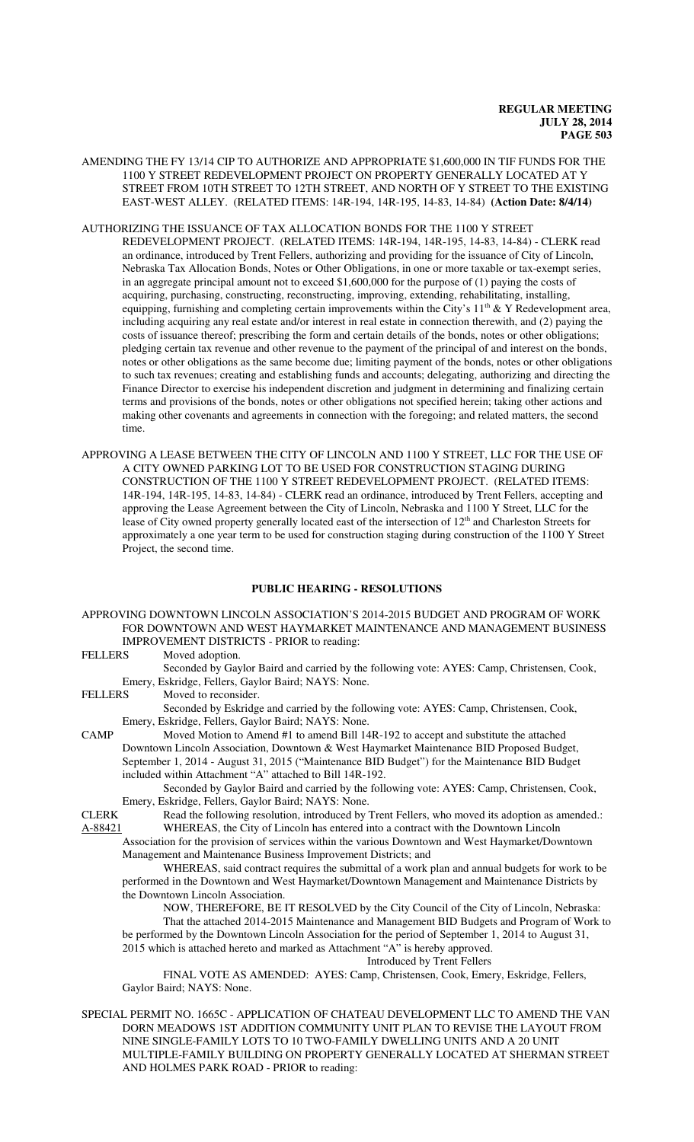- AMENDING THE FY 13/14 CIP TO AUTHORIZE AND APPROPRIATE \$1,600,000 IN TIF FUNDS FOR THE 1100 Y STREET REDEVELOPMENT PROJECT ON PROPERTY GENERALLY LOCATED AT Y STREET FROM 10TH STREET TO 12TH STREET, AND NORTH OF Y STREET TO THE EXISTING EAST-WEST ALLEY. (RELATED ITEMS: 14R-194, 14R-195, 14-83, 14-84) **(Action Date: 8/4/14)**
- AUTHORIZING THE ISSUANCE OF TAX ALLOCATION BONDS FOR THE 1100 Y STREET REDEVELOPMENT PROJECT. (RELATED ITEMS: 14R-194, 14R-195, 14-83, 14-84) - CLERK read an ordinance, introduced by Trent Fellers, authorizing and providing for the issuance of City of Lincoln, Nebraska Tax Allocation Bonds, Notes or Other Obligations, in one or more taxable or tax-exempt series, in an aggregate principal amount not to exceed \$1,600,000 for the purpose of (1) paying the costs of acquiring, purchasing, constructing, reconstructing, improving, extending, rehabilitating, installing, equipping, furnishing and completing certain improvements within the City's  $11<sup>th</sup>$  & Y Redevelopment area, including acquiring any real estate and/or interest in real estate in connection therewith, and (2) paying the costs of issuance thereof; prescribing the form and certain details of the bonds, notes or other obligations; pledging certain tax revenue and other revenue to the payment of the principal of and interest on the bonds, notes or other obligations as the same become due; limiting payment of the bonds, notes or other obligations to such tax revenues; creating and establishing funds and accounts; delegating, authorizing and directing the Finance Director to exercise his independent discretion and judgment in determining and finalizing certain terms and provisions of the bonds, notes or other obligations not specified herein; taking other actions and making other covenants and agreements in connection with the foregoing; and related matters, the second time.
- APPROVING A LEASE BETWEEN THE CITY OF LINCOLN AND 1100 Y STREET, LLC FOR THE USE OF A CITY OWNED PARKING LOT TO BE USED FOR CONSTRUCTION STAGING DURING CONSTRUCTION OF THE 1100 Y STREET REDEVELOPMENT PROJECT. (RELATED ITEMS: 14R-194, 14R-195, 14-83, 14-84) - CLERK read an ordinance, introduced by Trent Fellers, accepting and approving the Lease Agreement between the City of Lincoln, Nebraska and 1100 Y Street, LLC for the lease of City owned property generally located east of the intersection of 12<sup>th</sup> and Charleston Streets for approximately a one year term to be used for construction staging during construction of the 1100 Y Street Project, the second time.

#### **PUBLIC HEARING - RESOLUTIONS**

APPROVING DOWNTOWN LINCOLN ASSOCIATION'S 2014-2015 BUDGET AND PROGRAM OF WORK FOR DOWNTOWN AND WEST HAYMARKET MAINTENANCE AND MANAGEMENT BUSINESS IMPROVEMENT DISTRICTS - PRIOR to reading:

| <b>FELLERS</b> | Moved adoption.                                                                            |
|----------------|--------------------------------------------------------------------------------------------|
|                | Seconded by Gaylor Baird and carried by the following vote: AYES: Camp, Christensen, Cook, |
|                | Emery, Eskridge, Fellers, Gaylor Baird; NAYS: None.                                        |

FELLERS Moved to reconsider.

Seconded by Eskridge and carried by the following vote: AYES: Camp, Christensen, Cook, Emery, Eskridge, Fellers, Gaylor Baird; NAYS: None.

CAMP Moved Motion to Amend #1 to amend Bill 14R-192 to accept and substitute the attached Downtown Lincoln Association, Downtown & West Haymarket Maintenance BID Proposed Budget, September 1, 2014 - August 31, 2015 ("Maintenance BID Budget") for the Maintenance BID Budget included within Attachment "A" attached to Bill 14R-192.

Seconded by Gaylor Baird and carried by the following vote: AYES: Camp, Christensen, Cook, Emery, Eskridge, Fellers, Gaylor Baird; NAYS: None.

CLERK Read the following resolution, introduced by Trent Fellers, who moved its adoption as amended.: A-88421 WHEREAS, the City of Lincoln has entered into a contract with the Downtown Lincoln

Association for the provision of services within the various Downtown and West Haymarket/Downtown Management and Maintenance Business Improvement Districts; and

WHEREAS, said contract requires the submittal of a work plan and annual budgets for work to be performed in the Downtown and West Haymarket/Downtown Management and Maintenance Districts by the Downtown Lincoln Association.

NOW, THEREFORE, BE IT RESOLVED by the City Council of the City of Lincoln, Nebraska: That the attached 2014-2015 Maintenance and Management BID Budgets and Program of Work to be performed by the Downtown Lincoln Association for the period of September 1, 2014 to August 31, 2015 which is attached hereto and marked as Attachment "A" is hereby approved.

Introduced by Trent Fellers

FINAL VOTE AS AMENDED: AYES: Camp, Christensen, Cook, Emery, Eskridge, Fellers, Gaylor Baird; NAYS: None.

SPECIAL PERMIT NO. 1665C - APPLICATION OF CHATEAU DEVELOPMENT LLC TO AMEND THE VAN DORN MEADOWS 1ST ADDITION COMMUNITY UNIT PLAN TO REVISE THE LAYOUT FROM NINE SINGLE-FAMILY LOTS TO 10 TWO-FAMILY DWELLING UNITS AND A 20 UNIT MULTIPLE-FAMILY BUILDING ON PROPERTY GENERALLY LOCATED AT SHERMAN STREET AND HOLMES PARK ROAD - PRIOR to reading: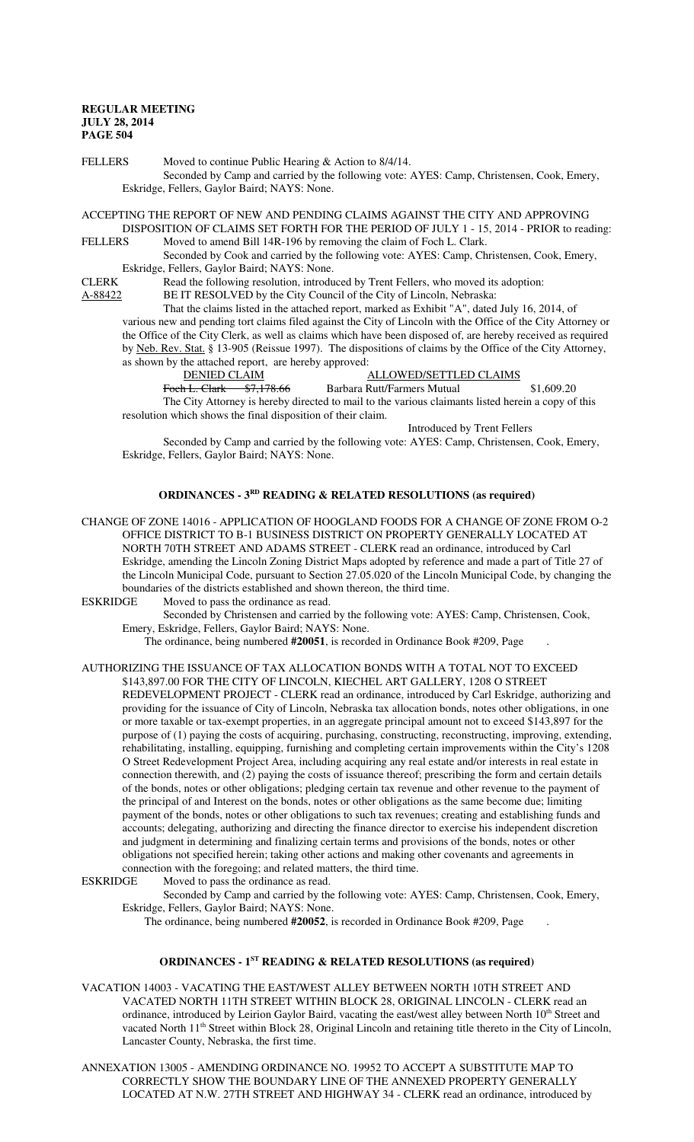FELLERS Moved to continue Public Hearing & Action to 8/4/14. Seconded by Camp and carried by the following vote: AYES: Camp, Christensen, Cook, Emery, Eskridge, Fellers, Gaylor Baird; NAYS: None.

ACCEPTING THE REPORT OF NEW AND PENDING CLAIMS AGAINST THE CITY AND APPROVING DISPOSITION OF CLAIMS SET FORTH FOR THE PERIOD OF JULY 1 - 15, 2014 - PRIOR to reading:<br>FELLERS Moved to amend Bill 14R-196 by removing the claim of Foch L. Clark Moved to amend Bill 14R-196 by removing the claim of Foch L. Clark.

Seconded by Cook and carried by the following vote: AYES: Camp, Christensen, Cook, Emery, Eskridge, Fellers, Gaylor Baird; NAYS: None.

CLERK Read the following resolution, introduced by Trent Fellers, who moved its adoption:

A-88422 BE IT RESOLVED by the City Council of the City of Lincoln, Nebraska:

That the claims listed in the attached report, marked as Exhibit "A", dated July 16, 2014, of various new and pending tort claims filed against the City of Lincoln with the Office of the City Attorney or the Office of the City Clerk, as well as claims which have been disposed of, are hereby received as required by Neb. Rev. Stat. § 13-905 (Reissue 1997). The dispositions of claims by the Office of the City Attorney, as shown by the attached report, are hereby approved:<br>DENIED CLAIM

ALLOWED/SETTLED CLAIMS

Foch L. Clark \$7,178.66 Barbara Rutt/Farmers Mutual \$1,609.20 The City Attorney is hereby directed to mail to the various claimants listed herein a copy of this resolution which shows the final disposition of their claim.

Introduced by Trent Fellers

Seconded by Camp and carried by the following vote: AYES: Camp, Christensen, Cook, Emery, Eskridge, Fellers, Gaylor Baird; NAYS: None.

#### **ORDINANCES - 3<sup>RD</sup>** READING & RELATED RESOLUTIONS (as required)

CHANGE OF ZONE 14016 - APPLICATION OF HOOGLAND FOODS FOR A CHANGE OF ZONE FROM O-2 OFFICE DISTRICT TO B-1 BUSINESS DISTRICT ON PROPERTY GENERALLY LOCATED AT NORTH 70TH STREET AND ADAMS STREET - CLERK read an ordinance, introduced by Carl Eskridge, amending the Lincoln Zoning District Maps adopted by reference and made a part of Title 27 of the Lincoln Municipal Code, pursuant to Section 27.05.020 of the Lincoln Municipal Code, by changing the boundaries of the districts established and shown thereon, the third time.

ESKRIDGE Moved to pass the ordinance as read.

Seconded by Christensen and carried by the following vote: AYES: Camp, Christensen, Cook, Emery, Eskridge, Fellers, Gaylor Baird; NAYS: None.

The ordinance, being numbered **#20051**, is recorded in Ordinance Book #209, Page .

AUTHORIZING THE ISSUANCE OF TAX ALLOCATION BONDS WITH A TOTAL NOT TO EXCEED \$143,897.00 FOR THE CITY OF LINCOLN, KIECHEL ART GALLERY, 1208 O STREET

REDEVELOPMENT PROJECT - CLERK read an ordinance, introduced by Carl Eskridge, authorizing and providing for the issuance of City of Lincoln, Nebraska tax allocation bonds, notes other obligations, in one or more taxable or tax-exempt properties, in an aggregate principal amount not to exceed \$143,897 for the purpose of (1) paying the costs of acquiring, purchasing, constructing, reconstructing, improving, extending, rehabilitating, installing, equipping, furnishing and completing certain improvements within the City's 1208 O Street Redevelopment Project Area, including acquiring any real estate and/or interests in real estate in connection therewith, and (2) paying the costs of issuance thereof; prescribing the form and certain details of the bonds, notes or other obligations; pledging certain tax revenue and other revenue to the payment of the principal of and Interest on the bonds, notes or other obligations as the same become due; limiting payment of the bonds, notes or other obligations to such tax revenues; creating and establishing funds and accounts; delegating, authorizing and directing the finance director to exercise his independent discretion and judgment in determining and finalizing certain terms and provisions of the bonds, notes or other obligations not specified herein; taking other actions and making other covenants and agreements in connection with the foregoing; and related matters, the third time.<br>ESKRIDGE Moved to pass the ordinance as read.

Moved to pass the ordinance as read.

Seconded by Camp and carried by the following vote: AYES: Camp, Christensen, Cook, Emery, Eskridge, Fellers, Gaylor Baird; NAYS: None.

The ordinance, being numbered **#20052**, is recorded in Ordinance Book #209, Page .

## **ORDINANCES - 1ST READING & RELATED RESOLUTIONS (as required)**

VACATION 14003 - VACATING THE EAST/WEST ALLEY BETWEEN NORTH 10TH STREET AND VACATED NORTH 11TH STREET WITHIN BLOCK 28, ORIGINAL LINCOLN - CLERK read an ordinance, introduced by Leirion Gaylor Baird, vacating the east/west alley between North 10<sup>th</sup> Street and vacated North 11<sup>th</sup> Street within Block 28, Original Lincoln and retaining title thereto in the City of Lincoln, Lancaster County, Nebraska, the first time.

ANNEXATION 13005 - AMENDING ORDINANCE NO. 19952 TO ACCEPT A SUBSTITUTE MAP TO CORRECTLY SHOW THE BOUNDARY LINE OF THE ANNEXED PROPERTY GENERALLY LOCATED AT N.W. 27TH STREET AND HIGHWAY 34 - CLERK read an ordinance, introduced by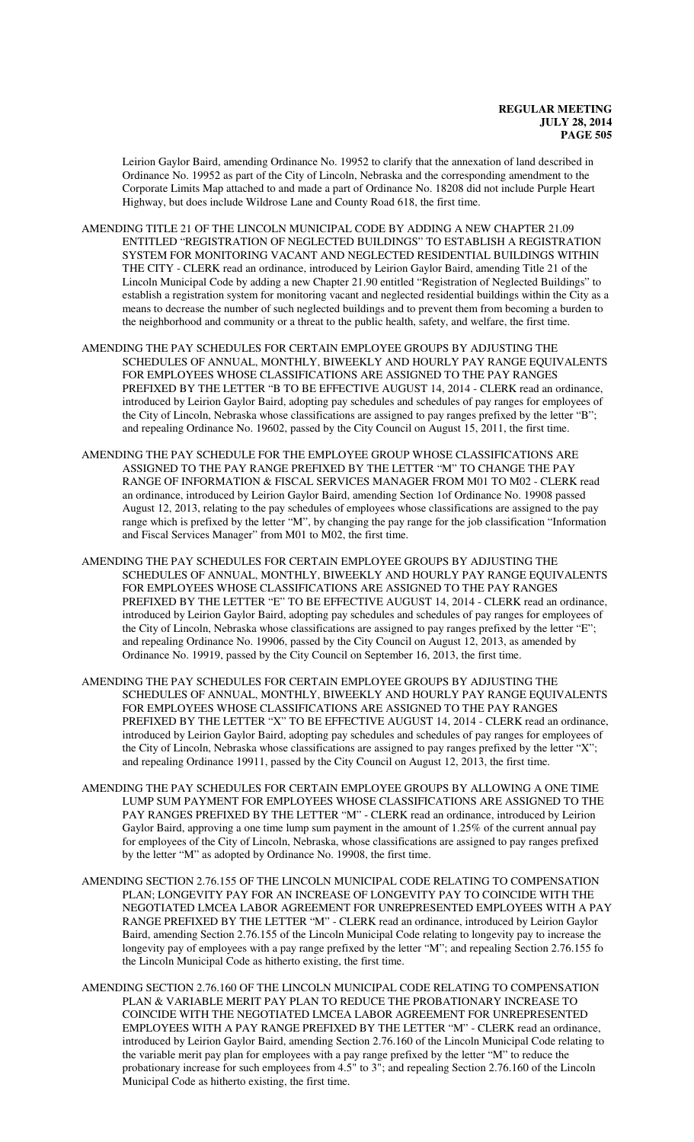Leirion Gaylor Baird, amending Ordinance No. 19952 to clarify that the annexation of land described in Ordinance No. 19952 as part of the City of Lincoln, Nebraska and the corresponding amendment to the Corporate Limits Map attached to and made a part of Ordinance No. 18208 did not include Purple Heart Highway, but does include Wildrose Lane and County Road 618, the first time.

- AMENDING TITLE 21 OF THE LINCOLN MUNICIPAL CODE BY ADDING A NEW CHAPTER 21.09 ENTITLED "REGISTRATION OF NEGLECTED BUILDINGS" TO ESTABLISH A REGISTRATION SYSTEM FOR MONITORING VACANT AND NEGLECTED RESIDENTIAL BUILDINGS WITHIN THE CITY - CLERK read an ordinance, introduced by Leirion Gaylor Baird, amending Title 21 of the Lincoln Municipal Code by adding a new Chapter 21.90 entitled "Registration of Neglected Buildings" to establish a registration system for monitoring vacant and neglected residential buildings within the City as a means to decrease the number of such neglected buildings and to prevent them from becoming a burden to the neighborhood and community or a threat to the public health, safety, and welfare, the first time.
- AMENDING THE PAY SCHEDULES FOR CERTAIN EMPLOYEE GROUPS BY ADJUSTING THE SCHEDULES OF ANNUAL, MONTHLY, BIWEEKLY AND HOURLY PAY RANGE EQUIVALENTS FOR EMPLOYEES WHOSE CLASSIFICATIONS ARE ASSIGNED TO THE PAY RANGES PREFIXED BY THE LETTER "B TO BE EFFECTIVE AUGUST 14, 2014 - CLERK read an ordinance, introduced by Leirion Gaylor Baird, adopting pay schedules and schedules of pay ranges for employees of the City of Lincoln, Nebraska whose classifications are assigned to pay ranges prefixed by the letter "B"; and repealing Ordinance No. 19602, passed by the City Council on August 15, 2011, the first time.
- AMENDING THE PAY SCHEDULE FOR THE EMPLOYEE GROUP WHOSE CLASSIFICATIONS ARE ASSIGNED TO THE PAY RANGE PREFIXED BY THE LETTER "M" TO CHANGE THE PAY RANGE OF INFORMATION & FISCAL SERVICES MANAGER FROM M01 TO M02 - CLERK read an ordinance, introduced by Leirion Gaylor Baird, amending Section 1of Ordinance No. 19908 passed August 12, 2013, relating to the pay schedules of employees whose classifications are assigned to the pay range which is prefixed by the letter "M", by changing the pay range for the job classification "Information and Fiscal Services Manager" from M01 to M02, the first time.
- AMENDING THE PAY SCHEDULES FOR CERTAIN EMPLOYEE GROUPS BY ADJUSTING THE SCHEDULES OF ANNUAL, MONTHLY, BIWEEKLY AND HOURLY PAY RANGE EQUIVALENTS FOR EMPLOYEES WHOSE CLASSIFICATIONS ARE ASSIGNED TO THE PAY RANGES PREFIXED BY THE LETTER "E" TO BE EFFECTIVE AUGUST 14, 2014 - CLERK read an ordinance, introduced by Leirion Gaylor Baird, adopting pay schedules and schedules of pay ranges for employees of the City of Lincoln, Nebraska whose classifications are assigned to pay ranges prefixed by the letter "E"; and repealing Ordinance No. 19906, passed by the City Council on August 12, 2013, as amended by Ordinance No. 19919, passed by the City Council on September 16, 2013, the first time.
- AMENDING THE PAY SCHEDULES FOR CERTAIN EMPLOYEE GROUPS BY ADJUSTING THE SCHEDULES OF ANNUAL, MONTHLY, BIWEEKLY AND HOURLY PAY RANGE EQUIVALENTS FOR EMPLOYEES WHOSE CLASSIFICATIONS ARE ASSIGNED TO THE PAY RANGES PREFIXED BY THE LETTER "X" TO BE EFFECTIVE AUGUST 14, 2014 - CLERK read an ordinance, introduced by Leirion Gaylor Baird, adopting pay schedules and schedules of pay ranges for employees of the City of Lincoln, Nebraska whose classifications are assigned to pay ranges prefixed by the letter "X"; and repealing Ordinance 19911, passed by the City Council on August 12, 2013, the first time.
- AMENDING THE PAY SCHEDULES FOR CERTAIN EMPLOYEE GROUPS BY ALLOWING A ONE TIME LUMP SUM PAYMENT FOR EMPLOYEES WHOSE CLASSIFICATIONS ARE ASSIGNED TO THE PAY RANGES PREFIXED BY THE LETTER "M" - CLERK read an ordinance, introduced by Leirion Gaylor Baird, approving a one time lump sum payment in the amount of 1.25% of the current annual pay for employees of the City of Lincoln, Nebraska, whose classifications are assigned to pay ranges prefixed by the letter "M" as adopted by Ordinance No. 19908, the first time.
- AMENDING SECTION 2.76.155 OF THE LINCOLN MUNICIPAL CODE RELATING TO COMPENSATION PLAN; LONGEVITY PAY FOR AN INCREASE OF LONGEVITY PAY TO COINCIDE WITH THE NEGOTIATED LMCEA LABOR AGREEMENT FOR UNREPRESENTED EMPLOYEES WITH A PAY RANGE PREFIXED BY THE LETTER "M" - CLERK read an ordinance, introduced by Leirion Gaylor Baird, amending Section 2.76.155 of the Lincoln Municipal Code relating to longevity pay to increase the longevity pay of employees with a pay range prefixed by the letter "M"; and repealing Section 2.76.155 fo the Lincoln Municipal Code as hitherto existing, the first time.
- AMENDING SECTION 2.76.160 OF THE LINCOLN MUNICIPAL CODE RELATING TO COMPENSATION PLAN & VARIABLE MERIT PAY PLAN TO REDUCE THE PROBATIONARY INCREASE TO COINCIDE WITH THE NEGOTIATED LMCEA LABOR AGREEMENT FOR UNREPRESENTED EMPLOYEES WITH A PAY RANGE PREFIXED BY THE LETTER "M" - CLERK read an ordinance, introduced by Leirion Gaylor Baird, amending Section 2.76.160 of the Lincoln Municipal Code relating to the variable merit pay plan for employees with a pay range prefixed by the letter "M" to reduce the probationary increase for such employees from 4.5" to 3"; and repealing Section 2.76.160 of the Lincoln Municipal Code as hitherto existing, the first time.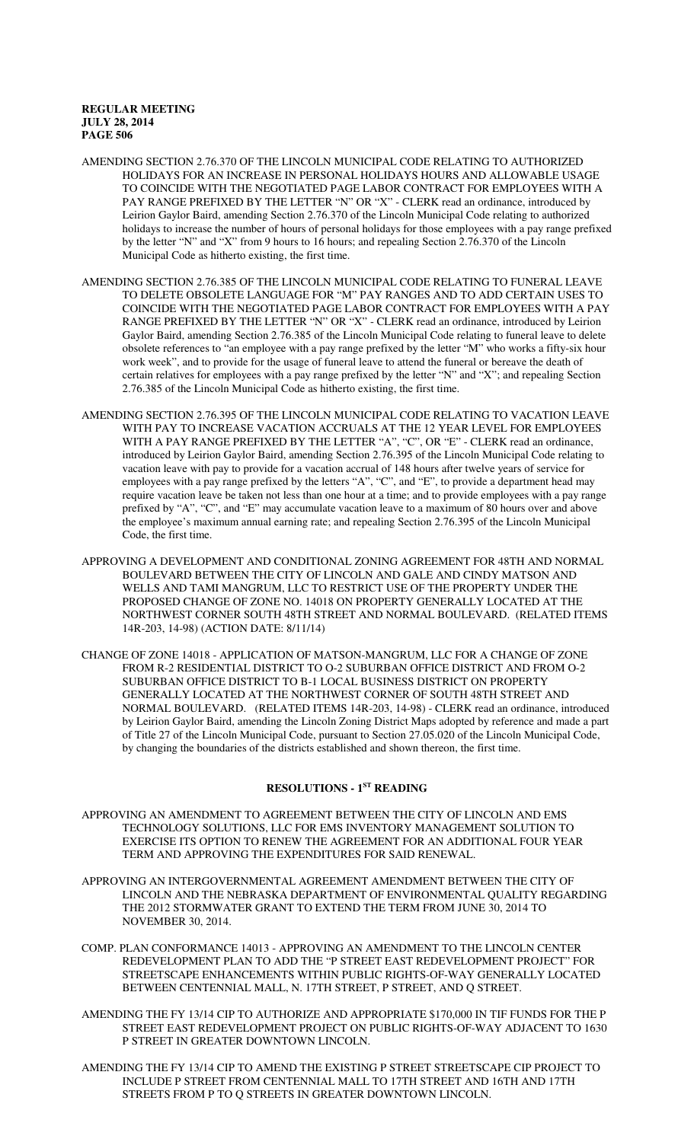- AMENDING SECTION 2.76.370 OF THE LINCOLN MUNICIPAL CODE RELATING TO AUTHORIZED HOLIDAYS FOR AN INCREASE IN PERSONAL HOLIDAYS HOURS AND ALLOWABLE USAGE TO COINCIDE WITH THE NEGOTIATED PAGE LABOR CONTRACT FOR EMPLOYEES WITH A PAY RANGE PREFIXED BY THE LETTER "N" OR "X" - CLERK read an ordinance, introduced by Leirion Gaylor Baird, amending Section 2.76.370 of the Lincoln Municipal Code relating to authorized holidays to increase the number of hours of personal holidays for those employees with a pay range prefixed by the letter "N" and "X" from 9 hours to 16 hours; and repealing Section 2.76.370 of the Lincoln Municipal Code as hitherto existing, the first time.
- AMENDING SECTION 2.76.385 OF THE LINCOLN MUNICIPAL CODE RELATING TO FUNERAL LEAVE TO DELETE OBSOLETE LANGUAGE FOR "M" PAY RANGES AND TO ADD CERTAIN USES TO COINCIDE WITH THE NEGOTIATED PAGE LABOR CONTRACT FOR EMPLOYEES WITH A PAY RANGE PREFIXED BY THE LETTER "N" OR "X" - CLERK read an ordinance, introduced by Leirion Gaylor Baird, amending Section 2.76.385 of the Lincoln Municipal Code relating to funeral leave to delete obsolete references to "an employee with a pay range prefixed by the letter "M" who works a fifty-six hour work week", and to provide for the usage of funeral leave to attend the funeral or bereave the death of certain relatives for employees with a pay range prefixed by the letter "N" and "X"; and repealing Section 2.76.385 of the Lincoln Municipal Code as hitherto existing, the first time.
- AMENDING SECTION 2.76.395 OF THE LINCOLN MUNICIPAL CODE RELATING TO VACATION LEAVE WITH PAY TO INCREASE VACATION ACCRUALS AT THE 12 YEAR LEVEL FOR EMPLOYEES WITH A PAY RANGE PREFIXED BY THE LETTER "A", "C", OR "E" - CLERK read an ordinance, introduced by Leirion Gaylor Baird, amending Section 2.76.395 of the Lincoln Municipal Code relating to vacation leave with pay to provide for a vacation accrual of 148 hours after twelve years of service for employees with a pay range prefixed by the letters "A", "C", and "E", to provide a department head may require vacation leave be taken not less than one hour at a time; and to provide employees with a pay range prefixed by "A", "C", and "E" may accumulate vacation leave to a maximum of 80 hours over and above the employee's maximum annual earning rate; and repealing Section 2.76.395 of the Lincoln Municipal Code, the first time.
- APPROVING A DEVELOPMENT AND CONDITIONAL ZONING AGREEMENT FOR 48TH AND NORMAL BOULEVARD BETWEEN THE CITY OF LINCOLN AND GALE AND CINDY MATSON AND WELLS AND TAMI MANGRUM, LLC TO RESTRICT USE OF THE PROPERTY UNDER THE PROPOSED CHANGE OF ZONE NO. 14018 ON PROPERTY GENERALLY LOCATED AT THE NORTHWEST CORNER SOUTH 48TH STREET AND NORMAL BOULEVARD. (RELATED ITEMS 14R-203, 14-98) (ACTION DATE: 8/11/14)
- CHANGE OF ZONE 14018 APPLICATION OF MATSON-MANGRUM, LLC FOR A CHANGE OF ZONE FROM R-2 RESIDENTIAL DISTRICT TO O-2 SUBURBAN OFFICE DISTRICT AND FROM O-2 SUBURBAN OFFICE DISTRICT TO B-1 LOCAL BUSINESS DISTRICT ON PROPERTY GENERALLY LOCATED AT THE NORTHWEST CORNER OF SOUTH 48TH STREET AND NORMAL BOULEVARD. (RELATED ITEMS 14R-203, 14-98) - CLERK read an ordinance, introduced by Leirion Gaylor Baird, amending the Lincoln Zoning District Maps adopted by reference and made a part of Title 27 of the Lincoln Municipal Code, pursuant to Section 27.05.020 of the Lincoln Municipal Code, by changing the boundaries of the districts established and shown thereon, the first time.

# **RESOLUTIONS - 1ST READING**

- APPROVING AN AMENDMENT TO AGREEMENT BETWEEN THE CITY OF LINCOLN AND EMS TECHNOLOGY SOLUTIONS, LLC FOR EMS INVENTORY MANAGEMENT SOLUTION TO EXERCISE ITS OPTION TO RENEW THE AGREEMENT FOR AN ADDITIONAL FOUR YEAR TERM AND APPROVING THE EXPENDITURES FOR SAID RENEWAL.
- APPROVING AN INTERGOVERNMENTAL AGREEMENT AMENDMENT BETWEEN THE CITY OF LINCOLN AND THE NEBRASKA DEPARTMENT OF ENVIRONMENTAL QUALITY REGARDING THE 2012 STORMWATER GRANT TO EXTEND THE TERM FROM JUNE 30, 2014 TO NOVEMBER 30, 2014.
- COMP. PLAN CONFORMANCE 14013 APPROVING AN AMENDMENT TO THE LINCOLN CENTER REDEVELOPMENT PLAN TO ADD THE "P STREET EAST REDEVELOPMENT PROJECT" FOR STREETSCAPE ENHANCEMENTS WITHIN PUBLIC RIGHTS-OF-WAY GENERALLY LOCATED BETWEEN CENTENNIAL MALL, N. 17TH STREET, P STREET, AND Q STREET.
- AMENDING THE FY 13/14 CIP TO AUTHORIZE AND APPROPRIATE \$170,000 IN TIF FUNDS FOR THE P STREET EAST REDEVELOPMENT PROJECT ON PUBLIC RIGHTS-OF-WAY ADJACENT TO 1630 P STREET IN GREATER DOWNTOWN LINCOLN.
- AMENDING THE FY 13/14 CIP TO AMEND THE EXISTING P STREET STREETSCAPE CIP PROJECT TO INCLUDE P STREET FROM CENTENNIAL MALL TO 17TH STREET AND 16TH AND 17TH STREETS FROM P TO Q STREETS IN GREATER DOWNTOWN LINCOLN.